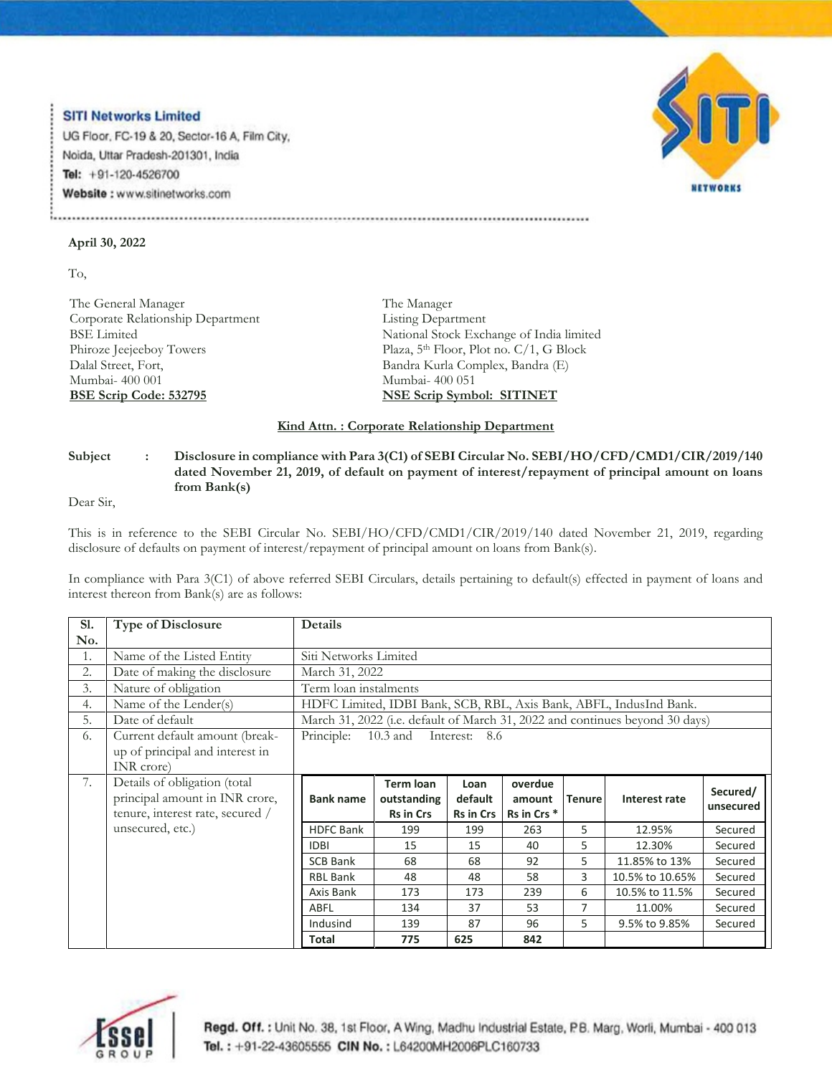## **SITI Networks Limited**

UG Floor, FC-19 & 20, Sector-16 A, Film City, Noida, Uttar Pradesh-201301, India Tel: +91-120-4526700 Website: www.sitinetworks.com



## **April 30, 2022**

To,

The General Manager Corporate Relationship Department BSE Limited Phiroze Jeejeeboy Towers Dalal Street, Fort, Mumbai- 400 001 **BSE Scrip Code: 532795**

The Manager Listing Department National Stock Exchange of India limited Plaza, 5<sup>th</sup> Floor, Plot no. C/1, G Block Bandra Kurla Complex, Bandra (E) Mumbai- 400 051 **NSE Scrip Symbol: SITINET**

## **Kind Attn. : Corporate Relationship Department**

## **Subject : Disclosure in compliance with Para 3(C1) of SEBI Circular No. SEBI/HO/CFD/CMD1/CIR/2019/140 dated November 21, 2019, of default on payment of interest/repayment of principal amount on loans from Bank(s)**

Dear Sir,

This is in reference to the SEBI Circular No. SEBI/HO/CFD/CMD1/CIR/2019/140 dated November 21, 2019, regarding disclosure of defaults on payment of interest/repayment of principal amount on loans from Bank(s).

In compliance with Para 3(C1) of above referred SEBI Circulars, details pertaining to default(s) effected in payment of loans and interest thereon from Bank(s) are as follows:

| <b>S1.</b> | <b>Type of Disclosure</b>                                         | Details                                                                      |                  |           |                        |               |                 |           |  |
|------------|-------------------------------------------------------------------|------------------------------------------------------------------------------|------------------|-----------|------------------------|---------------|-----------------|-----------|--|
| No.        |                                                                   |                                                                              |                  |           |                        |               |                 |           |  |
| 1.         | Name of the Listed Entity                                         | Siti Networks Limited                                                        |                  |           |                        |               |                 |           |  |
| 2.         | Date of making the disclosure                                     | March 31, 2022                                                               |                  |           |                        |               |                 |           |  |
| 3.         | Nature of obligation                                              | Term loan instalments                                                        |                  |           |                        |               |                 |           |  |
| 4.         | Name of the Lender(s)                                             | HDFC Limited, IDBI Bank, SCB, RBL, Axis Bank, ABFL, IndusInd Bank.           |                  |           |                        |               |                 |           |  |
| 5.         | Date of default                                                   | March 31, 2022 (i.e. default of March 31, 2022 and continues beyond 30 days) |                  |           |                        |               |                 |           |  |
| 6.         | Current default amount (break-<br>up of principal and interest in | Principle:<br>Interest: 8.6<br>$10.3$ and                                    |                  |           |                        |               |                 |           |  |
|            | INR crore)                                                        |                                                                              |                  |           |                        |               |                 |           |  |
| 7.         | Details of obligation (total                                      |                                                                              | <b>Term loan</b> | Loan      | overdue                |               |                 |           |  |
|            | principal amount in INR crore,                                    | <b>Bank name</b>                                                             | outstanding      | default   | amount                 | <b>Tenure</b> | Interest rate   | Secured/  |  |
|            | tenure, interest rate, secured /                                  |                                                                              | <b>Rs in Crs</b> | Rs in Crs | Rs in Crs <sup>*</sup> |               |                 | unsecured |  |
|            | unsecured, etc.)                                                  | <b>HDFC Bank</b>                                                             | 199              | 199       | 263                    | 5             | 12.95%          | Secured   |  |
|            |                                                                   | <b>IDBI</b>                                                                  | 15               | 15        | 40                     | 5             | 12.30%          | Secured   |  |
|            |                                                                   | <b>SCB Bank</b>                                                              | 68               | 68        | 92                     | 5             | 11.85% to 13%   | Secured   |  |
|            |                                                                   | <b>RBL Bank</b>                                                              | 48               | 48        | 58                     | 3             | 10.5% to 10.65% | Secured   |  |
|            |                                                                   | Axis Bank                                                                    | 173              | 173       | 239                    | 6             | 10.5% to 11.5%  | Secured   |  |
|            |                                                                   | ABFL                                                                         | 134              | 37        | 53                     | 7             | 11.00%          | Secured   |  |
|            |                                                                   | Indusind                                                                     | 139              | 87        | 96                     | 5             | 9.5% to 9.85%   | Secured   |  |
|            |                                                                   | <b>Total</b>                                                                 | 775              | 625       | 842                    |               |                 |           |  |